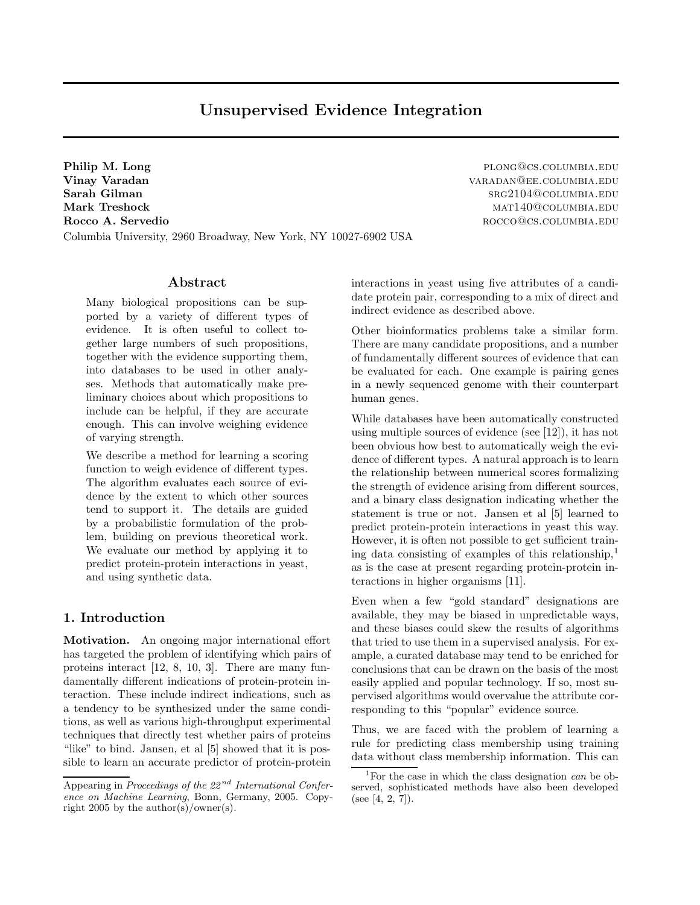# Unsupervised Evidence Integration

Philip M. Long plong@cs.columbia.edu Vinay Varadan varadan varadan varadan varadan varadan varadan varadan varadan varadan varadan varadan varadan Sarah Gilman srg2104@columbia.edu Mark Treshock mathematic mathematic mathematic mathematic mathematic mathematic mathematic mathematic mathematic mathematic mathematic mathematic mathematic mathematic mathematic mathematic mathematic mathematic mathematic Rocco A. Servedio **Rocco** and the roccomusic results and the roccomusic results and the roccomusic results and the roccomusic results and the roccomusic results and the roccomusic results and the roccomusic results and the Columbia University, 2960 Broadway, New York, NY 10027-6902 USA

# Abstract

Many biological propositions can be supported by a variety of different types of evidence. It is often useful to collect together large numbers of such propositions, together with the evidence supporting them, into databases to be used in other analyses. Methods that automatically make preliminary choices about which propositions to include can be helpful, if they are accurate enough. This can involve weighing evidence of varying strength.

We describe a method for learning a scoring function to weigh evidence of different types. The algorithm evaluates each source of evidence by the extent to which other sources tend to support it. The details are guided by a probabilistic formulation of the problem, building on previous theoretical work. We evaluate our method by applying it to predict protein-protein interactions in yeast, and using synthetic data.

# 1. Introduction

Motivation. An ongoing major international effort has targeted the problem of identifying which pairs of proteins interact [12, 8, 10, 3]. There are many fundamentally different indications of protein-protein interaction. These include indirect indications, such as a tendency to be synthesized under the same conditions, as well as various high-throughput experimental techniques that directly test whether pairs of proteins "like" to bind. Jansen, et al [5] showed that it is possible to learn an accurate predictor of protein-protein interactions in yeast using five attributes of a candidate protein pair, corresponding to a mix of direct and indirect evidence as described above.

Other bioinformatics problems take a similar form. There are many candidate propositions, and a number of fundamentally different sources of evidence that can be evaluated for each. One example is pairing genes in a newly sequenced genome with their counterpart human genes.

While databases have been automatically constructed using multiple sources of evidence (see [12]), it has not been obvious how best to automatically weigh the evidence of different types. A natural approach is to learn the relationship between numerical scores formalizing the strength of evidence arising from different sources, and a binary class designation indicating whether the statement is true or not. Jansen et al [5] learned to predict protein-protein interactions in yeast this way. However, it is often not possible to get sufficient training data consisting of examples of this relationship, $<sup>1</sup>$ </sup> as is the case at present regarding protein-protein interactions in higher organisms [11].

Even when a few "gold standard" designations are available, they may be biased in unpredictable ways, and these biases could skew the results of algorithms that tried to use them in a supervised analysis. For example, a curated database may tend to be enriched for conclusions that can be drawn on the basis of the most easily applied and popular technology. If so, most supervised algorithms would overvalue the attribute corresponding to this "popular" evidence source.

Thus, we are faced with the problem of learning a rule for predicting class membership using training data without class membership information. This can

Appearing in Proceedings of the  $22^{nd}$  International Conference on Machine Learning, Bonn, Germany, 2005. Copyright 2005 by the author(s)/owner(s).

<sup>&</sup>lt;sup>1</sup>For the case in which the class designation *can* be observed, sophisticated methods have also been developed (see [4, 2, 7]).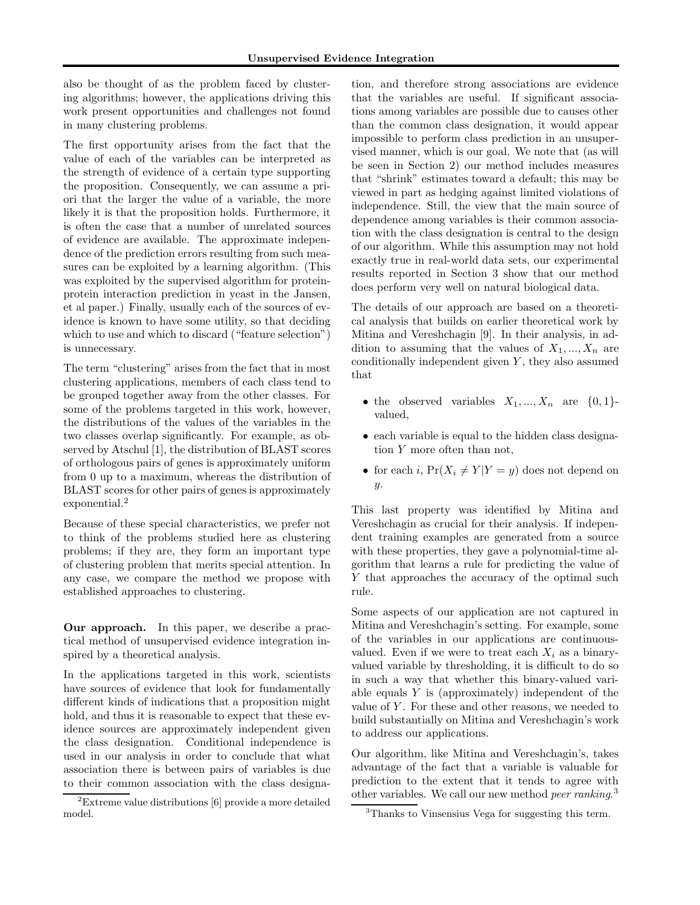also be thought of as the problem faced by clustering algorithms; however, the applications driving this work present opportunities and challenges not found in many clustering problems.

The first opportunity arises from the fact that the value of each of the variables can be interpreted as the strength of evidence of a certain type supporting the proposition. Consequently, we can assume a priori that the larger the value of a variable, the more likely it is that the proposition holds. Furthermore, it is often the case that a number of unrelated sources of evidence are available. The approximate independence of the prediction errors resulting from such measures can be exploited by a learning algorithm. (This was exploited by the supervised algorithm for proteinprotein interaction prediction in yeast in the Jansen, et al paper.) Finally, usually each of the sources of evidence is known to have some utility, so that deciding which to use and which to discard ("feature selection") is unnecessary.

The term "clustering" arises from the fact that in most clustering applications, members of each class tend to be grouped together away from the other classes. For some of the problems targeted in this work, however, the distributions of the values of the variables in the two classes overlap significantly. For example, as observed by Atschul [1], the distribution of BLAST scores of orthologous pairs of genes is approximately uniform from 0 up to a maximum, whereas the distribution of BLAST scores for other pairs of genes is approximately exponential.<sup>2</sup>

Because of these special characteristics, we prefer not to think of the problems studied here as clustering problems; if they are, they form an important type of clustering problem that merits special attention. In any case, we compare the method we propose with established approaches to clustering.

Our approach. In this paper, we describe a practical method of unsupervised evidence integration inspired by a theoretical analysis.

In the applications targeted in this work, scientists have sources of evidence that look for fundamentally different kinds of indications that a proposition might hold, and thus it is reasonable to expect that these evidence sources are approximately independent given the class designation. Conditional independence is used in our analysis in order to conclude that what association there is between pairs of variables is due to their common association with the class designa-

tion, and therefore strong associations are evidence that the variables are useful. If significant associations among variables are possible due to causes other than the common class designation, it would appear impossible to perform class prediction in an unsupervised manner, which is our goal. We note that (as will be seen in Section 2) our method includes measures that "shrink" estimates toward a default; this may be viewed in part as hedging against limited violations of independence. Still, the view that the main source of dependence among variables is their common association with the class designation is central to the design of our algorithm. While this assumption may not hold exactly true in real-world data sets, our experimental results reported in Section 3 show that our method does perform very well on natural biological data.

The details of our approach are based on a theoretical analysis that builds on earlier theoretical work by Mitina and Vereshchagin [9]. In their analysis, in addition to assuming that the values of  $X_1, ..., X_n$  are conditionally independent given  $Y$ , they also assumed that

- the observed variables  $X_1, ..., X_n$  are  $\{0, 1\}$ valued,
- each variable is equal to the hidden class designation Y more often than not,
- for each i,  $Pr(X_i \neq Y | Y = y)$  does not depend on y.

This last property was identified by Mitina and Vereshchagin as crucial for their analysis. If independent training examples are generated from a source with these properties, they gave a polynomial-time algorithm that learns a rule for predicting the value of Y that approaches the accuracy of the optimal such rule.

Some aspects of our application are not captured in Mitina and Vereshchagin's setting. For example, some of the variables in our applications are continuousvalued. Even if we were to treat each  $X_i$  as a binaryvalued variable by thresholding, it is difficult to do so in such a way that whether this binary-valued variable equals Y is (approximately) independent of the value of  $Y$ . For these and other reasons, we needed to build substantially on Mitina and Vereshchagin's work to address our applications.

Our algorithm, like Mitina and Vereshchagin's, takes advantage of the fact that a variable is valuable for prediction to the extent that it tends to agree with other variables. We call our new method *peer ranking*.<sup>3</sup>

<sup>2</sup>Extreme value distributions [6] provide a more detailed model.

<sup>3</sup>Thanks to Vinsensius Vega for suggesting this term.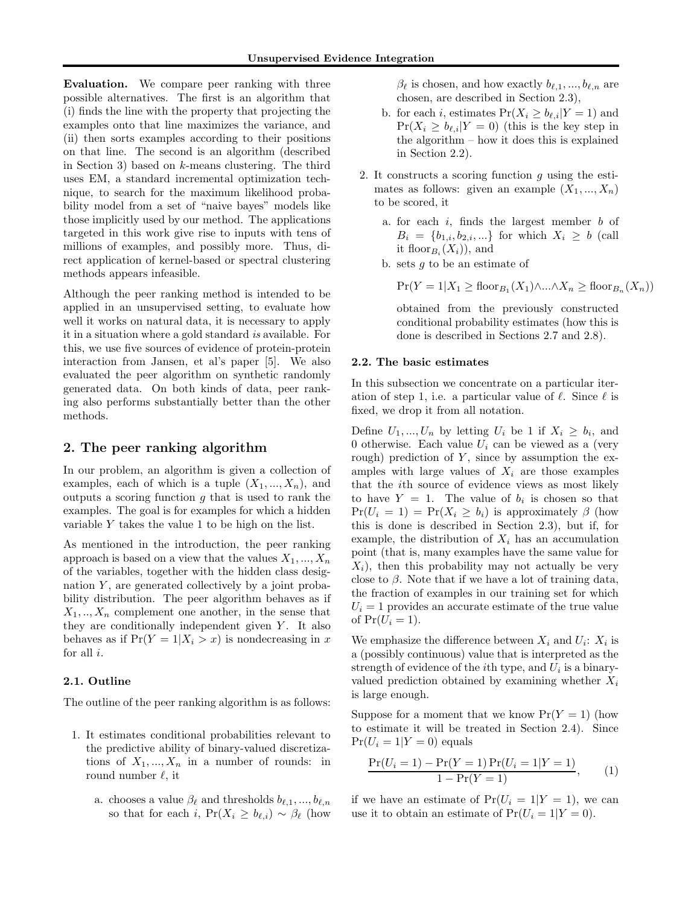Evaluation. We compare peer ranking with three possible alternatives. The first is an algorithm that (i) finds the line with the property that projecting the examples onto that line maximizes the variance, and (ii) then sorts examples according to their positions on that line. The second is an algorithm (described in Section 3) based on k-means clustering. The third uses EM, a standard incremental optimization technique, to search for the maximum likelihood probability model from a set of "naive bayes" models like those implicitly used by our method. The applications targeted in this work give rise to inputs with tens of millions of examples, and possibly more. Thus, direct application of kernel-based or spectral clustering methods appears infeasible.

Although the peer ranking method is intended to be applied in an unsupervised setting, to evaluate how well it works on natural data, it is necessary to apply it in a situation where a gold standard is available. For this, we use five sources of evidence of protein-protein interaction from Jansen, et al's paper [5]. We also evaluated the peer algorithm on synthetic randomly generated data. On both kinds of data, peer ranking also performs substantially better than the other methods.

# 2. The peer ranking algorithm

In our problem, an algorithm is given a collection of examples, each of which is a tuple  $(X_1, ..., X_n)$ , and outputs a scoring function  $g$  that is used to rank the examples. The goal is for examples for which a hidden variable Y takes the value 1 to be high on the list.

As mentioned in the introduction, the peer ranking approach is based on a view that the values  $X_1, ..., X_n$ of the variables, together with the hidden class designation  $Y$ , are generated collectively by a joint probability distribution. The peer algorithm behaves as if  $X_1, \ldots, X_n$  complement one another, in the sense that they are conditionally independent given  $Y$ . It also behaves as if  $Pr(Y = 1 | X_i > x)$  is nondecreasing in x for all  $i$ .

# 2.1. Outline

The outline of the peer ranking algorithm is as follows:

- 1. It estimates conditional probabilities relevant to the predictive ability of binary-valued discretizations of  $X_1, ..., X_n$  in a number of rounds: in round number  $\ell$ , it
	- a. chooses a value  $\beta_{\ell}$  and thresholds  $b_{\ell,1}, ..., b_{\ell,n}$ so that for each i,  $Pr(X_i \ge b_{\ell,i}) \sim \beta_{\ell}$  (how

 $\beta_{\ell}$  is chosen, and how exactly  $b_{\ell,1}, ..., b_{\ell,n}$  are chosen, are described in Section 2.3),

- b. for each i, estimates  $Pr(X_i \ge b_{\ell,i}|Y = 1)$  and  $Pr(X_i \ge b_{\ell,i}|Y = 0)$  (this is the key step in the algorithm – how it does this is explained in Section 2.2).
- 2. It constructs a scoring function  $g$  using the estimates as follows: given an example  $(X_1, ..., X_n)$ to be scored, it
	- a. for each  $i$ , finds the largest member  $b$  of  $B_i = \{b_{1,i}, b_{2,i}, ...\}$  for which  $X_i \geq b$  (call it floor $_{B_i}(X_i)$ , and
	- b. sets  $q$  to be an estimate of

 $Pr(Y = 1 | X_1 \geq \text{floor}_{B_1}(X_1) \wedge ... \wedge X_n \geq \text{floor}_{B_n}(X_n))$ 

obtained from the previously constructed conditional probability estimates (how this is done is described in Sections 2.7 and 2.8).

#### 2.2. The basic estimates

In this subsection we concentrate on a particular iteration of step 1, i.e. a particular value of  $\ell$ . Since  $\ell$  is fixed, we drop it from all notation.

Define  $U_1, ..., U_n$  by letting  $U_i$  be 1 if  $X_i \geq b_i$ , and 0 otherwise. Each value  $U_i$  can be viewed as a (very rough) prediction of  $Y$ , since by assumption the examples with large values of  $X_i$  are those examples that the ith source of evidence views as most likely to have  $Y = 1$ . The value of  $b_i$  is chosen so that  $Pr(U_i = 1) = Pr(X_i \ge b_i)$  is approximately  $\beta$  (how this is done is described in Section 2.3), but if, for example, the distribution of  $X_i$  has an accumulation point (that is, many examples have the same value for  $X_i$ , then this probability may not actually be very close to  $\beta$ . Note that if we have a lot of training data, the fraction of examples in our training set for which  $U_i = 1$  provides an accurate estimate of the true value of  $Pr(U_i = 1)$ .

We emphasize the difference between  $X_i$  and  $U_i$ :  $X_i$  is a (possibly continuous) value that is interpreted as the strength of evidence of the *i*<sup>th</sup> type, and  $U_i$  is a binaryvalued prediction obtained by examining whether  $X_i$ is large enough.

Suppose for a moment that we know  $Pr(Y = 1)$  (how to estimate it will be treated in Section 2.4). Since  $Pr(U_i = 1 | Y = 0)$  equals

$$
\frac{\Pr(U_i = 1) - \Pr(Y = 1)\Pr(U_i = 1|Y = 1)}{1 - \Pr(Y = 1)},
$$
\n(1)

if we have an estimate of  $Pr(U_i = 1 | Y = 1)$ , we can use it to obtain an estimate of  $Pr(U_i = 1 | Y = 0)$ .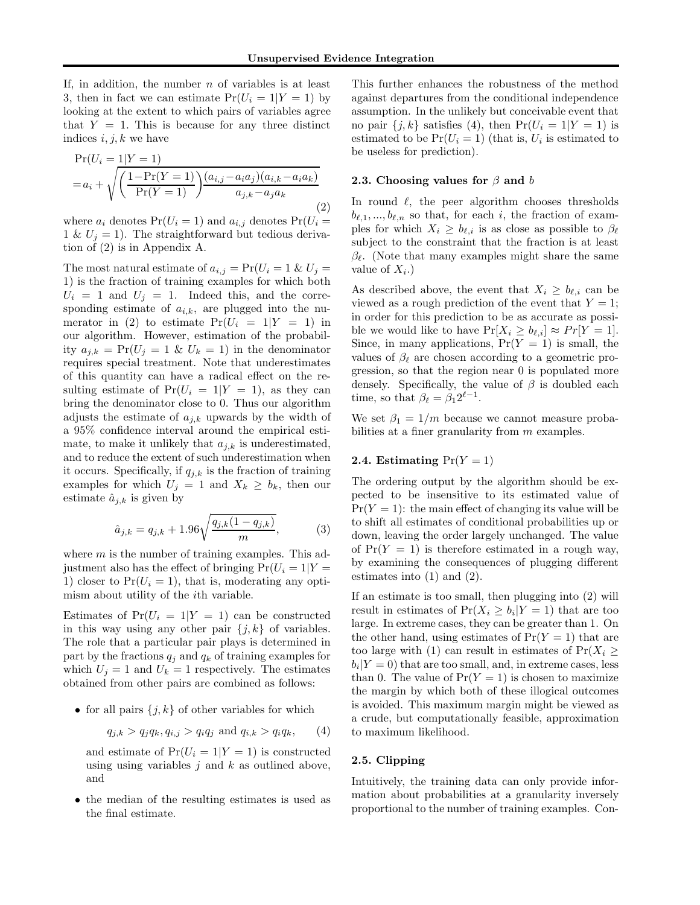If, in addition, the number  $n$  of variables is at least 3, then in fact we can estimate  $Pr(U_i = 1 | Y = 1)$  by looking at the extent to which pairs of variables agree that  $Y = 1$ . This is because for any three distinct indices  $i, j, k$  we have

$$
\Pr(U_i = 1|Y = 1) \n= a_i + \sqrt{\left(\frac{1 - \Pr(Y = 1)}{\Pr(Y = 1)}\right)\frac{(a_{i,j} - a_i a_j)(a_{i,k} - a_i a_k)}{a_{j,k} - a_j a_k}}
$$
\n(2)

where  $a_i$  denotes  $Pr(U_i = 1)$  and  $a_{i,j}$  denotes  $Pr(U_i = 1)$ 1 &  $U_i = 1$ ). The straightforward but tedious derivation of (2) is in Appendix A.

The most natural estimate of  $a_{i,j} = Pr(U_i = 1 \& U_j =$ 1) is the fraction of training examples for which both  $U_i = 1$  and  $U_j = 1$ . Indeed this, and the corresponding estimate of  $a_{i,k}$ , are plugged into the numerator in (2) to estimate  $Pr(U_i = 1 | Y = 1)$  in our algorithm. However, estimation of the probability  $a_{j,k} = \Pr(U_j = 1 \& U_k = 1)$  in the denominator requires special treatment. Note that underestimates of this quantity can have a radical effect on the resulting estimate of  $Pr(U_i = 1 | Y = 1)$ , as they can bring the denominator close to 0. Thus our algorithm adjusts the estimate of  $a_{j,k}$  upwards by the width of a 95% confidence interval around the empirical estimate, to make it unlikely that  $a_{j,k}$  is underestimated, and to reduce the extent of such underestimation when it occurs. Specifically, if  $q_{j,k}$  is the fraction of training examples for which  $U_j = 1$  and  $X_k \ge b_k$ , then our estimate  $\hat{a}_{j,k}$  is given by

$$
\hat{a}_{j,k} = q_{j,k} + 1.96\sqrt{\frac{q_{j,k}(1-q_{j,k})}{m}},\tag{3}
$$

where  $m$  is the number of training examples. This adjustment also has the effect of bringing  $Pr(U_i = 1 | Y =$ 1) closer to  $Pr(U_i = 1)$ , that is, moderating any optimism about utility of the ith variable.

Estimates of  $Pr(U_i = 1 | Y = 1)$  can be constructed in this way using any other pair  $\{j, k\}$  of variables. The role that a particular pair plays is determined in part by the fractions  $q_j$  and  $q_k$  of training examples for which  $U_j = 1$  and  $U_k = 1$  respectively. The estimates obtained from other pairs are combined as follows:

• for all pairs  $\{j, k\}$  of other variables for which

$$
q_{j,k} > q_j q_k, q_{i,j} > q_i q_j
$$
 and  $q_{i,k} > q_i q_k$ , (4)

and estimate of  $Pr(U_i = 1 | Y = 1)$  is constructed using using variables  $j$  and  $k$  as outlined above, and

• the median of the resulting estimates is used as the final estimate.

This further enhances the robustness of the method against departures from the conditional independence assumption. In the unlikely but conceivable event that no pair  $\{j, k\}$  satisfies (4), then  $Pr(U_i = 1 | Y = 1)$  is estimated to be  $Pr(U_i = 1)$  (that is,  $U_i$  is estimated to be useless for prediction).

#### 2.3. Choosing values for  $\beta$  and b

In round  $\ell$ , the peer algorithm chooses thresholds  $b_{\ell,1},..., b_{\ell,n}$  so that, for each i, the fraction of examples for which  $X_i \geq b_{\ell,i}$  is as close as possible to  $\beta_{\ell}$ subject to the constraint that the fraction is at least  $\beta_{\ell}$ . (Note that many examples might share the same value of  $X_i$ .)

As described above, the event that  $X_i \geq b_{\ell,i}$  can be viewed as a rough prediction of the event that  $Y = 1$ ; in order for this prediction to be as accurate as possible we would like to have  $Pr[X_i \ge b_{\ell,i}] \approx Pr[Y = 1].$ Since, in many applications,  $Pr(Y = 1)$  is small, the values of  $\beta_{\ell}$  are chosen according to a geometric progression, so that the region near 0 is populated more densely. Specifically, the value of  $\beta$  is doubled each time, so that  $\beta_{\ell} = \beta_1 2^{\ell - 1}$ .

We set  $\beta_1 = 1/m$  because we cannot measure probabilities at a finer granularity from  $m$  examples.

#### 2.4. Estimating  $Pr(Y = 1)$

The ordering output by the algorithm should be expected to be insensitive to its estimated value of  $Pr(Y = 1)$ : the main effect of changing its value will be to shift all estimates of conditional probabilities up or down, leaving the order largely unchanged. The value of  $Pr(Y = 1)$  is therefore estimated in a rough way, by examining the consequences of plugging different estimates into (1) and (2).

If an estimate is too small, then plugging into (2) will result in estimates of  $Pr(X_i \ge b_i | Y = 1)$  that are too large. In extreme cases, they can be greater than 1. On the other hand, using estimates of  $Pr(Y = 1)$  that are too large with (1) can result in estimates of  $Pr(X_i \geq$  $b_i|Y=0$  that are too small, and, in extreme cases, less than 0. The value of  $Pr(Y = 1)$  is chosen to maximize the margin by which both of these illogical outcomes is avoided. This maximum margin might be viewed as a crude, but computationally feasible, approximation to maximum likelihood.

# 2.5. Clipping

Intuitively, the training data can only provide information about probabilities at a granularity inversely proportional to the number of training examples. Con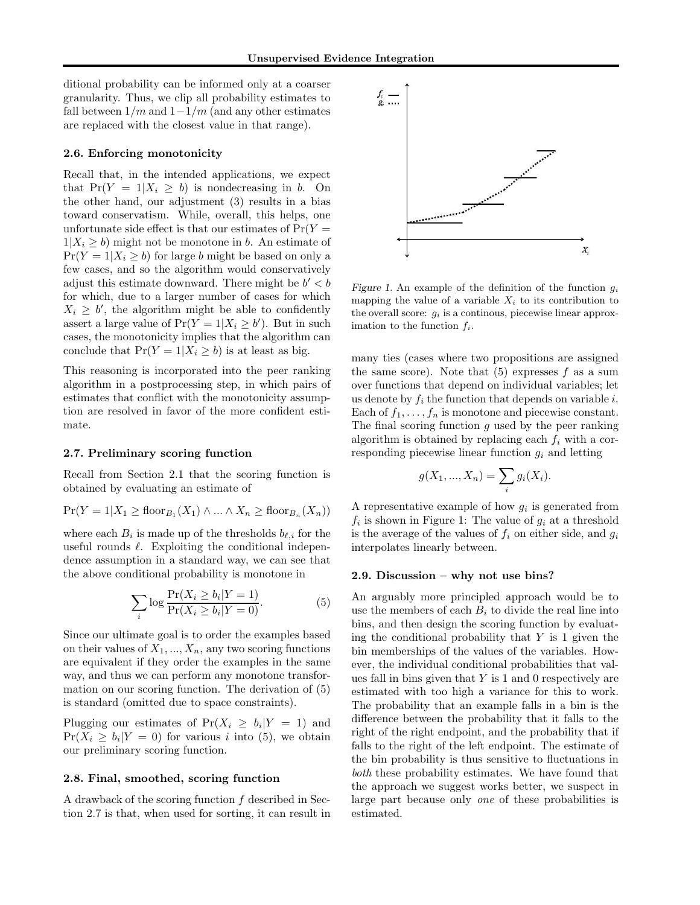ditional probability can be informed only at a coarser granularity. Thus, we clip all probability estimates to fall between  $1/m$  and  $1-1/m$  (and any other estimates are replaced with the closest value in that range).

#### 2.6. Enforcing monotonicity

Recall that, in the intended applications, we expect that  $Pr(Y = 1 | X_i \ge b)$  is nondecreasing in b. On the other hand, our adjustment (3) results in a bias toward conservatism. While, overall, this helps, one unfortunate side effect is that our estimates of  $Pr(Y =$  $1|X_i \geq b$ ) might not be monotone in b. An estimate of  $Pr(Y = 1 | X_i \ge b)$  for large b might be based on only a few cases, and so the algorithm would conservatively adjust this estimate downward. There might be  $b' < b$ for which, due to a larger number of cases for which  $X_i \geq b'$ , the algorithm might be able to confidently assert a large value of  $Pr(Y = 1 | X_i \ge b')$ . But in such cases, the monotonicity implies that the algorithm can conclude that  $Pr(Y = 1 | X_i \ge b)$  is at least as big.

This reasoning is incorporated into the peer ranking algorithm in a postprocessing step, in which pairs of estimates that conflict with the monotonicity assumption are resolved in favor of the more confident estimate.

#### 2.7. Preliminary scoring function

Recall from Section 2.1 that the scoring function is obtained by evaluating an estimate of

$$
Pr(Y = 1 | X_1 \geq \text{floor}_{B_1}(X_1) \land ... \land X_n \geq \text{floor}_{B_n}(X_n))
$$

where each  $B_i$  is made up of the thresholds  $b_{\ell,i}$  for the useful rounds  $\ell$ . Exploiting the conditional independence assumption in a standard way, we can see that the above conditional probability is monotone in

$$
\sum_{i} \log \frac{\Pr(X_i \ge b_i | Y = 1)}{\Pr(X_i \ge b_i | Y = 0)}.
$$
\n<sup>(5)</sup>

Since our ultimate goal is to order the examples based on their values of  $X_1, ..., X_n$ , any two scoring functions are equivalent if they order the examples in the same way, and thus we can perform any monotone transformation on our scoring function. The derivation of (5) is standard (omitted due to space constraints).

Plugging our estimates of  $Pr(X_i \ge b_i | Y = 1)$  and  $Pr(X_i \ge b_i | Y = 0)$  for various i into (5), we obtain our preliminary scoring function.

#### 2.8. Final, smoothed, scoring function

A drawback of the scoring function f described in Section 2.7 is that, when used for sorting, it can result in



Figure 1. An example of the definition of the function  $g_i$ mapping the value of a variable  $X_i$  to its contribution to the overall score:  $g_i$  is a continous, piecewise linear approximation to the function  $f_i$ .

many ties (cases where two propositions are assigned the same score). Note that  $(5)$  expresses f as a sum over functions that depend on individual variables; let us denote by  $f_i$  the function that depends on variable i. Each of  $f_1, \ldots, f_n$  is monotone and piecewise constant. The final scoring function  $g$  used by the peer ranking algorithm is obtained by replacing each  $f_i$  with a corresponding piecewise linear function  $g_i$  and letting

$$
g(X_1, ..., X_n) = \sum_i g_i(X_i).
$$

A representative example of how  $g_i$  is generated from  $f_i$  is shown in Figure 1: The value of  $g_i$  at a threshold is the average of the values of  $f_i$  on either side, and  $g_i$ interpolates linearly between.

#### 2.9. Discussion – why not use bins?

An arguably more principled approach would be to use the members of each  $B_i$  to divide the real line into bins, and then design the scoring function by evaluating the conditional probability that  $Y$  is 1 given the bin memberships of the values of the variables. However, the individual conditional probabilities that values fall in bins given that  $Y$  is 1 and 0 respectively are estimated with too high a variance for this to work. The probability that an example falls in a bin is the difference between the probability that it falls to the right of the right endpoint, and the probability that if falls to the right of the left endpoint. The estimate of the bin probability is thus sensitive to fluctuations in both these probability estimates. We have found that the approach we suggest works better, we suspect in large part because only one of these probabilities is estimated.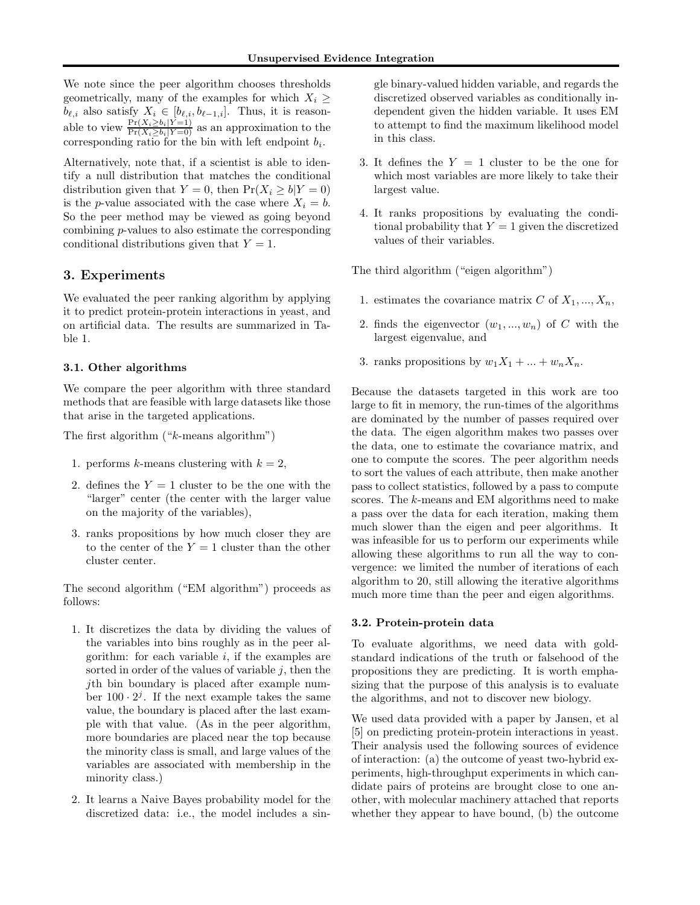We note since the peer algorithm chooses thresholds geometrically, many of the examples for which  $X_i \geq$  $b_{\ell,i}$  also satisfy  $X_i \in [b_{\ell,i}, b_{\ell-1,i}]$ . Thus, it is reasonable to view  $\frac{\Pr(X_i \ge b_i | Y=1)}{\Pr(X_i \ge b_i | Y=0)}$  as an approximation to the corresponding ratio for the bin with left endpoint  $b_i$ .

Alternatively, note that, if a scientist is able to identify a null distribution that matches the conditional distribution given that  $Y = 0$ , then  $Pr(X_i \ge b | Y = 0)$ is the p-value associated with the case where  $X_i = b$ . So the peer method may be viewed as going beyond combining p-values to also estimate the corresponding conditional distributions given that  $Y = 1$ .

# 3. Experiments

We evaluated the peer ranking algorithm by applying it to predict protein-protein interactions in yeast, and on artificial data. The results are summarized in Table 1.

#### 3.1. Other algorithms

We compare the peer algorithm with three standard methods that are feasible with large datasets like those that arise in the targeted applications.

The first algorithm ("k-means algorithm")

- 1. performs k-means clustering with  $k = 2$ ,
- 2. defines the  $Y = 1$  cluster to be the one with the "larger" center (the center with the larger value on the majority of the variables),
- 3. ranks propositions by how much closer they are to the center of the  $Y = 1$  cluster than the other cluster center.

The second algorithm ("EM algorithm") proceeds as follows:

- 1. It discretizes the data by dividing the values of the variables into bins roughly as in the peer algorithm: for each variable  $i$ , if the examples are sorted in order of the values of variable  $j$ , then the jth bin boundary is placed after example number  $100 \cdot 2^{j}$ . If the next example takes the same value, the boundary is placed after the last example with that value. (As in the peer algorithm, more boundaries are placed near the top because the minority class is small, and large values of the variables are associated with membership in the minority class.)
- 2. It learns a Naive Bayes probability model for the discretized data: i.e., the model includes a sin-

gle binary-valued hidden variable, and regards the discretized observed variables as conditionally independent given the hidden variable. It uses EM to attempt to find the maximum likelihood model in this class.

- 3. It defines the  $Y = 1$  cluster to be the one for which most variables are more likely to take their largest value.
- 4. It ranks propositions by evaluating the conditional probability that  $Y = 1$  given the discretized values of their variables.

The third algorithm ("eigen algorithm")

- 1. estimates the covariance matrix C of  $X_1, ..., X_n$ ,
- 2. finds the eigenvector  $(w_1, ..., w_n)$  of C with the largest eigenvalue, and
- 3. ranks propositions by  $w_1X_1 + ... + w_nX_n$ .

Because the datasets targeted in this work are too large to fit in memory, the run-times of the algorithms are dominated by the number of passes required over the data. The eigen algorithm makes two passes over the data, one to estimate the covariance matrix, and one to compute the scores. The peer algorithm needs to sort the values of each attribute, then make another pass to collect statistics, followed by a pass to compute scores. The k-means and EM algorithms need to make a pass over the data for each iteration, making them much slower than the eigen and peer algorithms. It was infeasible for us to perform our experiments while allowing these algorithms to run all the way to convergence: we limited the number of iterations of each algorithm to 20, still allowing the iterative algorithms much more time than the peer and eigen algorithms.

#### 3.2. Protein-protein data

To evaluate algorithms, we need data with goldstandard indications of the truth or falsehood of the propositions they are predicting. It is worth emphasizing that the purpose of this analysis is to evaluate the algorithms, and not to discover new biology.

We used data provided with a paper by Jansen, et al [5] on predicting protein-protein interactions in yeast. Their analysis used the following sources of evidence of interaction: (a) the outcome of yeast two-hybrid experiments, high-throughput experiments in which candidate pairs of proteins are brought close to one another, with molecular machinery attached that reports whether they appear to have bound, (b) the outcome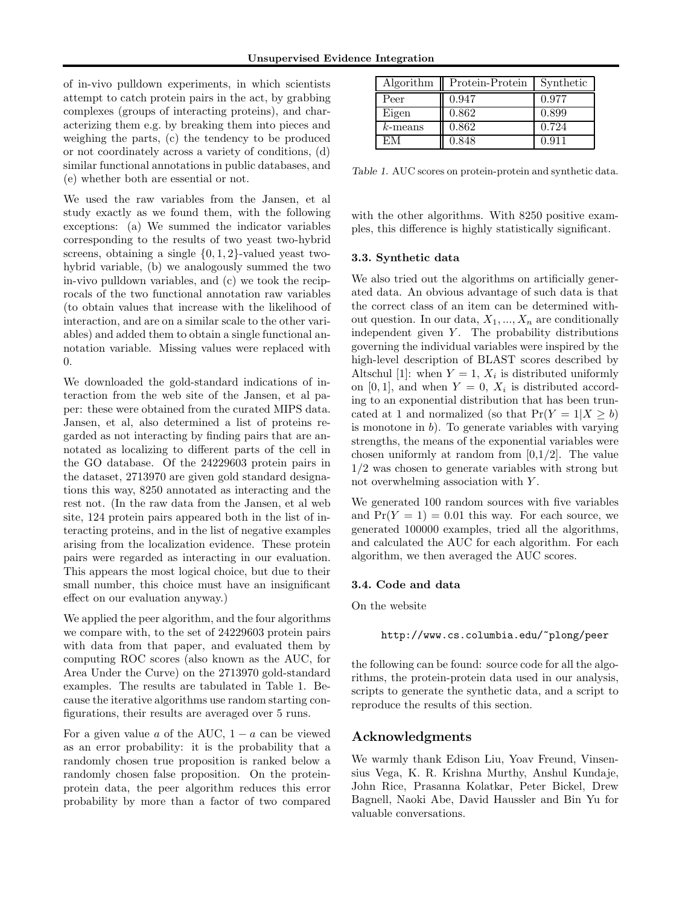of in-vivo pulldown experiments, in which scientists attempt to catch protein pairs in the act, by grabbing complexes (groups of interacting proteins), and characterizing them e.g. by breaking them into pieces and weighing the parts, (c) the tendency to be produced or not coordinately across a variety of conditions, (d) similar functional annotations in public databases, and (e) whether both are essential or not.

We used the raw variables from the Jansen, et al study exactly as we found them, with the following exceptions: (a) We summed the indicator variables corresponding to the results of two yeast two-hybrid screens, obtaining a single  $\{0, 1, 2\}$ -valued yeast twohybrid variable, (b) we analogously summed the two in-vivo pulldown variables, and (c) we took the reciprocals of the two functional annotation raw variables (to obtain values that increase with the likelihood of interaction, and are on a similar scale to the other variables) and added them to obtain a single functional annotation variable. Missing values were replaced with 0.

We downloaded the gold-standard indications of interaction from the web site of the Jansen, et al paper: these were obtained from the curated MIPS data. Jansen, et al, also determined a list of proteins regarded as not interacting by finding pairs that are annotated as localizing to different parts of the cell in the GO database. Of the 24229603 protein pairs in the dataset, 2713970 are given gold standard designations this way, 8250 annotated as interacting and the rest not. (In the raw data from the Jansen, et al web site, 124 protein pairs appeared both in the list of interacting proteins, and in the list of negative examples arising from the localization evidence. These protein pairs were regarded as interacting in our evaluation. This appears the most logical choice, but due to their small number, this choice must have an insignificant effect on our evaluation anyway.)

We applied the peer algorithm, and the four algorithms we compare with, to the set of 24229603 protein pairs with data from that paper, and evaluated them by computing ROC scores (also known as the AUC, for Area Under the Curve) on the 2713970 gold-standard examples. The results are tabulated in Table 1. Because the iterative algorithms use random starting configurations, their results are averaged over 5 runs.

For a given value a of the AUC,  $1 - a$  can be viewed as an error probability: it is the probability that a randomly chosen true proposition is ranked below a randomly chosen false proposition. On the proteinprotein data, the peer algorithm reduces this error probability by more than a factor of two compared

| Algorithm  | Protein-Protein | Synthetic |
|------------|-----------------|-----------|
| Peer       | 0.947           | 0.977     |
| Eigen      | 0.862           | 0.899     |
| $k$ -means | 0.862           | 0.724     |
| EМ         | 0.848           | 0.911     |

Table 1. AUC scores on protein-protein and synthetic data.

with the other algorithms. With 8250 positive examples, this difference is highly statistically significant.

#### 3.3. Synthetic data

We also tried out the algorithms on artificially generated data. An obvious advantage of such data is that the correct class of an item can be determined without question. In our data,  $X_1, ..., X_n$  are conditionally independent given  $Y$ . The probability distributions governing the individual variables were inspired by the high-level description of BLAST scores described by Altschul [1]: when  $Y = 1$ ,  $X_i$  is distributed uniformly on [0, 1], and when  $Y = 0$ ,  $X_i$  is distributed according to an exponential distribution that has been truncated at 1 and normalized (so that  $Pr(Y = 1 | X \ge b)$ ) is monotone in  $b$ ). To generate variables with varying strengths, the means of the exponential variables were chosen uniformly at random from  $[0,1/2]$ . The value 1/2 was chosen to generate variables with strong but not overwhelming association with Y .

We generated 100 random sources with five variables and  $Pr(Y = 1) = 0.01$  this way. For each source, we generated 100000 examples, tried all the algorithms, and calculated the AUC for each algorithm. For each algorithm, we then averaged the AUC scores.

#### 3.4. Code and data

On the website

http://www.cs.columbia.edu/~plong/peer

the following can be found: source code for all the algorithms, the protein-protein data used in our analysis, scripts to generate the synthetic data, and a script to reproduce the results of this section.

# Acknowledgments

We warmly thank Edison Liu, Yoav Freund, Vinsensius Vega, K. R. Krishna Murthy, Anshul Kundaje, John Rice, Prasanna Kolatkar, Peter Bickel, Drew Bagnell, Naoki Abe, David Haussler and Bin Yu for valuable conversations.